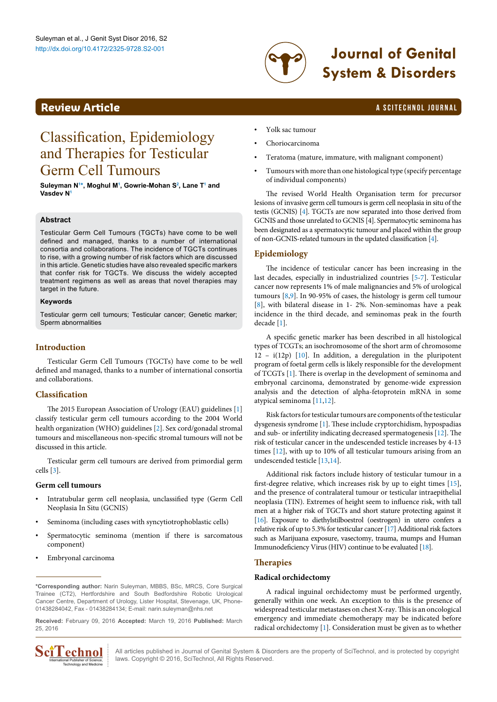

# http://dx.doi.org/10.4172/2325-9728.S2-001 **Journal of Genital System & Disorders**

# <span id="page-0-1"></span>**Review Article a Scittering Contract Contract Contract Contract Contract Contract Contract Contract Contract Contract Contract Contract Contract Contract Contract Contract Contract Contract Contract Contract Contract Co**

# Classification, Epidemiology and Therapies for Testicular Germ Cell Tumours

#### **Suleyman N[1](#page-2-0) [\\*,](#page-0-0) Moghul [M1](#page-2-0) , Gowrie-Mohan S[2](#page-2-1) , Lane [T1](#page-2-0) and Vasdev N[1](#page-2-0)**

### **Abstract**

Testicular Germ Cell Tumours (TGCTs) have come to be well defined and managed, thanks to a number of international consortia and collaborations. The incidence of TGCTs continues to rise, with a growing number of risk factors which are discussed in this article. Genetic studies have also revealed specific markers that confer risk for TGCTs. We discuss the widely accepted treatment regimens as well as areas that novel therapies may target in the future.

### **Keywords**

Testicular germ cell tumours; Testicular cancer; Genetic marker; Sperm abnormalities

# **Introduction**

Testicular Germ Cell Tumours (TGCTs) have come to be well defined and managed, thanks to a number of international consortia and collaborations.

## **Classification**

The 2015 European Association of Urology (EAU) guidelines [1] classify testicular germ cell tumours according to the 2004 World health organization (WHO) guidelines [2]. Sex cord/gonadal stromal tumours and miscellaneous non-specific stromal tumours will not be discussed in this article.

Testicular germ cell tumours are derived from primordial germ cells [3].

### **Germ cell tumours**

- Intratubular germ cell neoplasia, unclassified type (Germ Cell Neoplasia In Situ (GCNIS)
- Seminoma (including cases with syncytiotrophoblastic cells)
- Spermatocytic seminoma (mention if there is sarcomatous component)
- Embryonal carcinoma

<span id="page-0-0"></span>**\*Corresponding author:** Narin Suleyman, MBBS, BSc, MRCS, Core Surgical Trainee (CT2), Hertfordshire and South Bedfordshire Robotic Urological Cancer Centre, Department of Urology, Lister Hospital, Stevenage, UK, Phone-01438284042, Fax - 01438284134; E-mail: narin.suleyman@nhs.net

**Received:** February 09, 2016 **Accepted:** March 19, 2016 **Published:** March 25, 2016



• Yolk sac tumour

- Choriocarcinoma
- Teratoma (mature, immature, with malignant component)
- Tumours with more than one histological type (specify percentage of individual components)

The revised World Health Organisation term for precursor lesions of invasive germ cell tumours is germ cell neoplasia in situ of the testis (GCNIS) [4]. TGCTs are now separated into those derived from GCNIS and those unrelated to GCNIS [4]. Spermatocytic seminoma has been designated as a spermatocytic tumour and placed within the group of non-GCNIS-related tumours in the updated classification [4].

# **Epidemiology**

The incidence of testicular cancer has been increasing in the last decades, especially in industrialized countries [\[5-](#page-1-0)[7](#page-1-1)]. Testicular cancer now represents 1% of male malignancies and 5% of urological tumours [\[8](#page-1-2),[9\]](#page-1-3). In 90-95% of cases, the histology is germ cell tumour [[8](#page-1-2)], with bilateral disease in 1- 2%. Non-seminomas have a peak incidence in the third decade, and seminomas peak in the fourth decade [[1](#page-1-4)].

A specific genetic marker has been described in all histological types of TCGTs; an isochromosome of the short arm of chromosome 12 – i(12p) [[10\]](#page-1-5). In addition, a deregulation in the pluripotent program of foetal germ cells is likely responsible for the development of TCGTs [\[1\]](#page-1-4). There is overlap in the development of seminoma and embryonal carcinoma, demonstrated by genome-wide expression analysis and the detection of alpha-fetoprotein mRNA in some atypical seminoma [[11](#page-1-6)[,12\]](#page-1-7).

Risk factors for testicular tumours are components of the testicular dysgenesis syndrome [[1](#page-1-4)]. These include cryptorchidism, hypospadias and sub- or infertility indicating decreased spermatogenesis [[12](#page-1-7)]. The risk of testicular cancer in the undescended testicle increases by 4-13 times [\[12\]](#page-1-7), with up to 10% of all testicular tumours arising from an undescended testicle [\[13,](#page-2-2)[14\]](#page-2-3).

Additional risk factors include history of testicular tumour in a first-degree relative, which increases risk by up to eight times [[15\]](#page-2-4), and the presence of contralateral tumour or testicular intraepithelial neoplasia (TIN). Extremes of height seem to influence risk, with tall men at a higher risk of TGCTs and short stature protecting against it [[16\]](#page-2-5). Exposure to diethylstilboestrol (oestrogen) in utero confers a relative risk of up to 5.3% for testicular cancer [\[17\]](#page-2-6) Additional risk factors such as Marijuana exposure, vasectomy, trauma, mumps and Human Immunodeficiency Virus (HIV) continue to be evaluated [\[18\]](#page-2-7).

## **Therapies**

### **Radical orchidectomy**

A radical inguinal orchidectomy must be performed urgently, generally within one week. An exception to this is the presence of widespread testicular metastases on chest X-ray. This is an oncological emergency and immediate chemotherapy may be indicated before radical orchidectomy [[1\]](#page-1-4). Consideration must be given as to whether

All articles published in Journal of Genital System & Disorders are the property of SciTechnol, and is protected by copyright **CCOMOL** All articles published in Journal of Genital System & Discordiant Publisher of Science, laws. Copyright © 2016, SciTechnol, All Rights Reserved.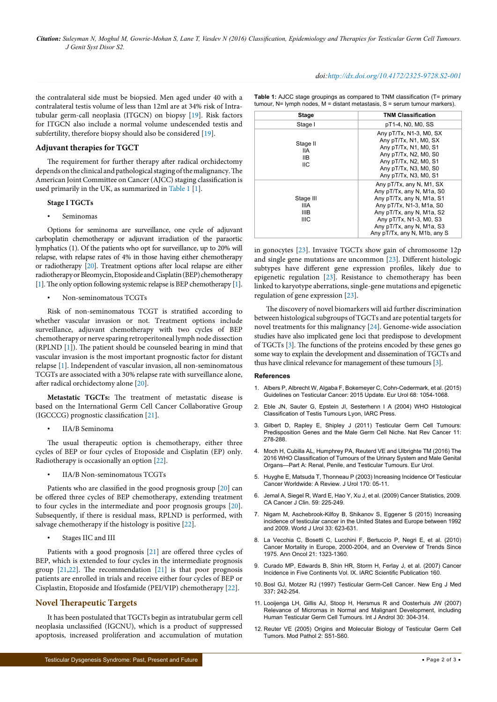the contralateral side must be biopsied. Men aged under 40 with a contralateral testis volume of less than 12ml are at 34% risk of Intratubular germ-call neoplasia (ITGCN) on biopsy [\[19\]](#page-2-8). Risk factors for ITGCN also include a normal volume undescended testis and subfertility, therefore biopsy should also be considered [\[19](#page-2-8)].

#### **Adjuvant therapies for TGCT**

The requirement for further therapy after radical orchidectomy depends on the clinical and pathological staging of the malignancy. The American Joint Committee on Cancer (AJCC) staging classification is used primarily in the UK, as summarized in Table 1 [\[1](#page-1-4)].

#### **Stage I TGCTs**

• Seminomas

Options for seminoma are surveillance, one cycle of adjuvant carboplatin chemotherapy or adjuvant irradiation of the paraortic lymphatics (1). Of the patients who opt for surveillance, up to 20% will relapse, with relapse rates of 4% in those having either chemotherapy or radiotherapy [\[20\]](#page-2-9). Treatment options after local relapse are either radiotherapy or Bleomycin, Etoposide and Cisplatin (BEP) chemotherapy [\[1\]](#page-1-4). The only option following systemic relapse is BEP chemotherapy [1].

#### • Non-seminomatous TCGTs

Risk of non-seminomatous TCGT is stratified according to whether vascular invasion or not. Treatment options include surveillance, adjuvant chemotherapy with two cycles of BEP chemotherapy or nerve sparing retroperitoneal lymph node dissection (RPLND [[1](#page-1-4)]). The patient should be counseled bearing in mind that vascular invasion is the most important prognostic factor for distant relapse [\[1](#page-1-4)]. Independent of vascular invasion, all non-seminomatous TCGTs are associated with a 30% relapse rate with surveillance alone, after radical orchidectomy alone [\[20](#page-2-9)].

**Metastatic TGCTs:** The treatment of metastatic disease is based on the International Germ Cell Cancer Collaborative Group (IGCCCG) prognostic classification [[21](#page-2-10)].

• IIA/B Seminoma

The usual therapeutic option is chemotherapy, either three cycles of BEP or four cycles of Etoposide and Cisplatin (EP) only. Radiotherapy is occasionally an option [\[22\]](#page-2-11).

• IIA/B Non-seminomatous TCGTs

Patients who are classified in the good prognosis group [[20](#page-2-9)] can be offered three cycles of BEP chemotherapy, extending treatment to four cycles in the intermediate and poor prognosis groups [[20](#page-2-9)]. Subsequently, if there is residual mass, RPLND is performed, with salvage chemotherapy if the histology is positive [[22\]](#page-2-11).

• Stages IIC and III

Patients with a good prognosis [[21\]](#page-2-10) are offered three cycles of BEP, which is extended to four cycles in the intermediate prognosis group [[21](#page-2-10)[,22](#page-2-11)]. The recommendation [\[21](#page-2-10)] is that poor prognosis patients are enrolled in trials and receive either four cycles of BEP or Cisplastin, Etoposide and Ifosfamide (PEI/VIP) chemotherapy [\[22\]](#page-2-11).

### **Novel Therapeutic Targets**

It has been postulated that TGCTs begin as intratubular germ cell neoplasia unclassified (IGCNU), which is a product of suppressed apoptosis, increased proliferation and accumulation of mutation

*doi:http://dx.doi.org/10.4172/2325-9728.S2-001*

| <b>Table 1:</b> AJCC stage groupings as compared to TNM classification (T= primary |  |
|------------------------------------------------------------------------------------|--|
| tumour, $N =$ lymph nodes, $M =$ distant metastasis, $S =$ serum tumour markers).  |  |

| <b>Stage</b>                                           | <b>TNM Classification</b>                                                                                                                                                                                                           |
|--------------------------------------------------------|-------------------------------------------------------------------------------------------------------------------------------------------------------------------------------------------------------------------------------------|
| Stage I                                                | pT1-4, N0, M0, SS                                                                                                                                                                                                                   |
| Stage II<br>IIA<br>IIВ<br>ШC                           | Any pT/Tx, N1-3, M0, SX<br>Any pT/Tx, N1, M0, SX<br>Any pT/Tx, N1, M0, S1<br>Any pT/Tx, N2, M0, S0<br>Any pT/Tx, N2, M0, S1<br>Any pT/Tx, N3, M0, S0<br>Any pT/Tx, N3, M0, S1                                                       |
| Stage III<br><b>IIIA</b><br><b>IIIB</b><br><b>IIIC</b> | Any pT/Tx, any N, M1, SX<br>Any pT/Tx, any N, M1a, S0<br>Any pT/Tx, any N, M1a, S1<br>Any pT/Tx, N1-3, M1a, S0<br>Any pT/Tx, any N, M1a, S2<br>Any pT/Tx, N1-3, M0, S3<br>Any pT/Tx, any N, M1a, S3<br>Any pT/Tx, any N, M1b, any S |

in gonocytes [[23](#page-2-12)]. Invasive TGCTs show gain of chromosome 12p and single gene mutations are uncommon [[23](#page-2-12)]. Different histologic subtypes have different gene expression profiles, likely due to epigenetic regulation [[23](#page-2-12)]. Resistance to chemotherapy has been linked to karyotype aberrations, single-gene mutations and epigenetic regulation of gene expression [[23](#page-2-12)].

The discovery of novel biomarkers will aid further discrimination between histological subgroups of TGCTs and are potential targets for novel treatments for this malignancy [\[24\]](#page-2-13). Genome-wide association studies have also implicated gene loci that predispose to development of TGCTs [\[3](#page-1-8)]. The functions of the proteins encoded by these genes go some way to explain the development and dissemination of TGCTs and thus have clinical relevance for management of these tumours [[3\]](#page-1-8).

#### **References**

- <span id="page-1-4"></span>1. [Albers P, Albrecht W, Algaba F, Bokemeyer C, Cohn-Cedermark, et al. \(2015\)](http://uroweb.org/wp-content/uploads/11-Testicular-Cancer_LR1.pdf)  [Guidelines on Testicular Cancer: 2015 Update. Eur Urol 68: 1054-1068.](http://uroweb.org/wp-content/uploads/11-Testicular-Cancer_LR1.pdf)
- 2. [Eble JN, Sauter G, Epstein JI, Sesterhenn I A \(2004\) WHO Histological](https://www.iarc.fr/en/publications/pdfs-online/pat-gen/bb7/BB7.pdf)  [Classification of Testis Tumours](https://www.iarc.fr/en/publications/pdfs-online/pat-gen/bb7/BB7.pdf) Lyon, IARC Press.
- <span id="page-1-8"></span>3. [Gilbert D, Rapley E, Shipley J \(2011\) Testicular Germ Cell Tumours:](http://www.nature.com/nrc/journal/v11/n4/abs/nrc3021.html)  [Predisposition Genes and the Male Germ Cell Niche. Nat Rev Cancer 11:](http://www.nature.com/nrc/journal/v11/n4/abs/nrc3021.html) [278-288.](http://www.nature.com/nrc/journal/v11/n4/abs/nrc3021.html)
- 4. [Moch H, Cubilla AL, Humphrey PA, Reuterd VE and Ulbrighte TM \(2016\) The](http://www.europeanurology.com/article/S0302-2838(16)00206-2/abstract/the-2016-who-classification-of-tumours-of-the-urinary-system-and-male-genital-organs-part-a-renal-penile-and-testicular-tumours)  [2016 WHO Classification of Tumours of the Urinary System and Male Genital](http://www.europeanurology.com/article/S0302-2838(16)00206-2/abstract/the-2016-who-classification-of-tumours-of-the-urinary-system-and-male-genital-organs-part-a-renal-penile-and-testicular-tumours)  [Organs—Part A: Renal, Penile, and Testicular Tumours. Eur Urol.](http://www.europeanurology.com/article/S0302-2838(16)00206-2/abstract/the-2016-who-classification-of-tumours-of-the-urinary-system-and-male-genital-organs-part-a-renal-penile-and-testicular-tumours)
- <span id="page-1-0"></span>5. [Huyghe E, Matsuda T, Thonneau P \(2003\) Increasing Incidence Of Testicular](http://www.ncbi.nlm.nih.gov/pubmed/12796635)  [Cancer Worldwide: A Review. J Urol 170: 05-11.](http://www.ncbi.nlm.nih.gov/pubmed/12796635)
- 6. [Jemal A, Siegel R, Ward E, Hao Y, Xu J, et al. \(2009\) Cancer Statistics, 2009.](http://www.ncbi.nlm.nih.gov/pubmed/19474385)  [CA Cancer J Clin. 59: 225-249.](http://www.ncbi.nlm.nih.gov/pubmed/19474385)
- <span id="page-1-1"></span>7. [Nigam M, Aschebrook-Kilfoy B, Shikanov S, Eggener S \(2015\) Increasing](http://www.ncbi.nlm.nih.gov/pubmed/25030752)  [incidence of testicular cancer in the United States and Europe between 1992](http://www.ncbi.nlm.nih.gov/pubmed/25030752)  [and 2009. World J Urol 33: 623-631.](http://www.ncbi.nlm.nih.gov/pubmed/25030752)
- <span id="page-1-2"></span>8. [La Vecchia C, Bosetti C, Lucchini F, Bertuccio P, Negri E, et al. \(2010\)](http://www.ncbi.nlm.nih.gov/pubmed/19948741)  [Cancer Mortality in Europe, 2000-2004, and an Overview of Trends Since](http://www.ncbi.nlm.nih.gov/pubmed/19948741)  [1975. Ann Oncol 21: 1323-1360.](http://www.ncbi.nlm.nih.gov/pubmed/19948741)
- <span id="page-1-3"></span>9. [Curado MP, Edwards B, Shin HR, Storm H, Ferlay J, et al. \(2007\) Cancer](http://www.iarc.fr/en/publications/pdfs-online/epi/sp160/)  [Incidence in Five Continents Vol. IX. IARC Scientific Publication](http://www.iarc.fr/en/publications/pdfs-online/epi/sp160/) 160.
- <span id="page-1-5"></span>10. Bosl GJ, Motzer RJ (1997) Testicular Germ-Cell Cancer. New Eng J Med 337**:** 242-254.
- <span id="page-1-6"></span>11. [Looijenga LH, Gillis AJ, Stoop H, Hersmus R and Oosterhuis JW \(2007\)](http://www.ncbi.nlm.nih.gov/pubmed/17573854)  [Relevance of Micrornas in Normal and Malignant Development, including](http://www.ncbi.nlm.nih.gov/pubmed/17573854)  [Human Testicular Germ Cell Tumours. Int J Androl 30: 304-314.](http://www.ncbi.nlm.nih.gov/pubmed/17573854)
- <span id="page-1-7"></span>12. [Reuter VE \(2005\) Origins and Molecular Biology of Testicular Germ Cell](http://www.ncbi.nlm.nih.gov/pubmed/15761466)  [Tumors. Mod Pathol 2: S51-S60.](http://www.ncbi.nlm.nih.gov/pubmed/15761466)